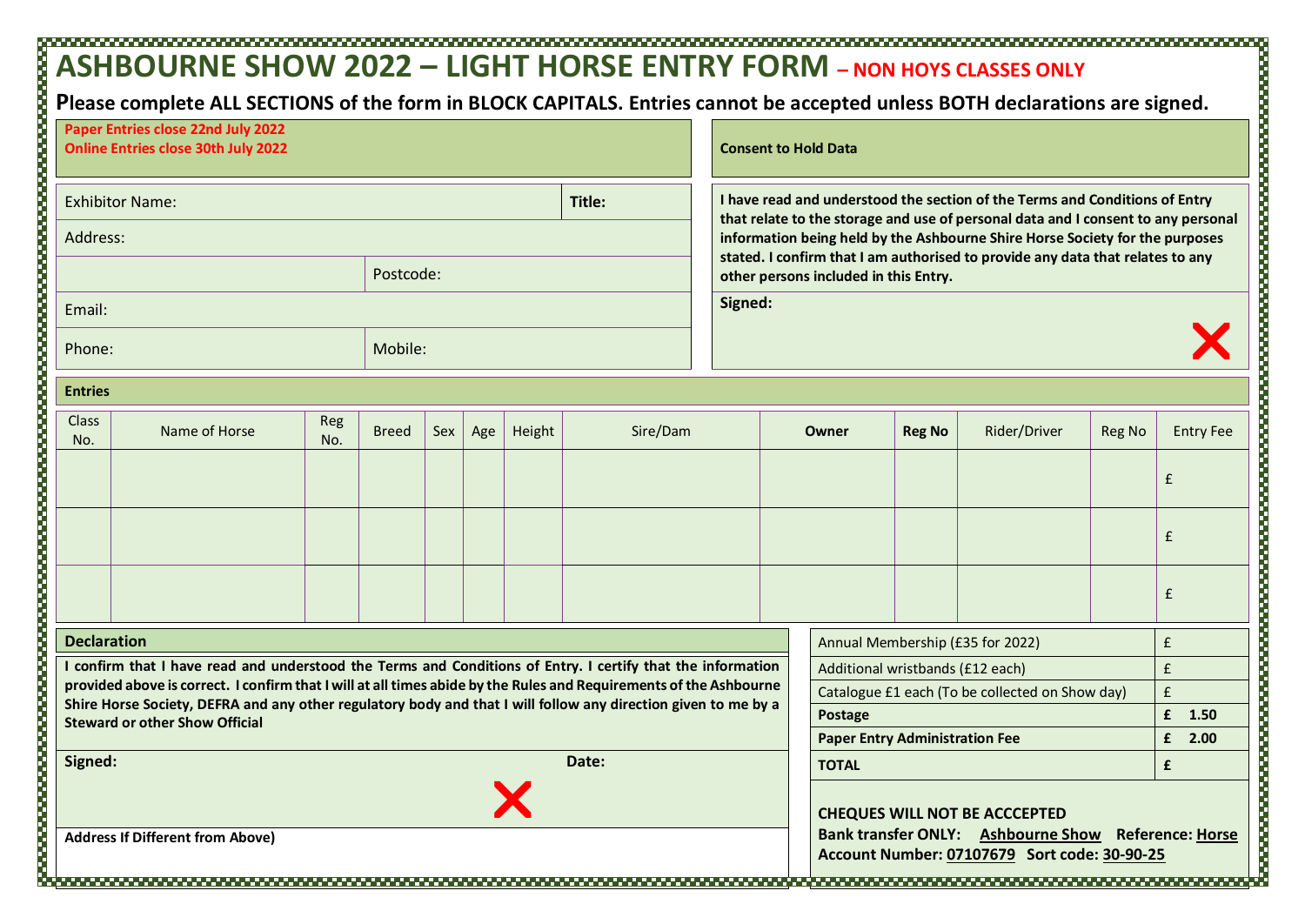## **ASHBOURNE SHOW 2022 – LIGHT HORSE ENTRY FORM – NON HOYS CLASSES ONLY**

**Please complete ALL SECTIONS of the form in BLOCK CAPITALS. Entries cannot be accepted unless BOTH declarations are signed.**

| Paper Entries close 22nd July 2022<br><b>Online Entries close 30th July 2022</b>                                                                                                                                                  |                                                                                                                |            |              |     |         |        |          |                                                                                                                         | <b>Consent to Hold Data</b>                                                                                                                                      |                                                        |                                                                                                                                             |               |              |                        |                  |  |  |
|-----------------------------------------------------------------------------------------------------------------------------------------------------------------------------------------------------------------------------------|----------------------------------------------------------------------------------------------------------------|------------|--------------|-----|---------|--------|----------|-------------------------------------------------------------------------------------------------------------------------|------------------------------------------------------------------------------------------------------------------------------------------------------------------|--------------------------------------------------------|---------------------------------------------------------------------------------------------------------------------------------------------|---------------|--------------|------------------------|------------------|--|--|
| <b>Exhibitor Name:</b><br>Title:                                                                                                                                                                                                  |                                                                                                                |            |              |     |         |        |          |                                                                                                                         | I have read and understood the section of the Terms and Conditions of Entry<br>that relate to the storage and use of personal data and I consent to any personal |                                                        |                                                                                                                                             |               |              |                        |                  |  |  |
| Address:                                                                                                                                                                                                                          |                                                                                                                |            |              |     |         |        |          |                                                                                                                         | information being held by the Ashbourne Shire Horse Society for the purposes                                                                                     |                                                        |                                                                                                                                             |               |              |                        |                  |  |  |
| Postcode:                                                                                                                                                                                                                         |                                                                                                                |            |              |     |         |        |          | stated. I confirm that I am authorised to provide any data that relates to any<br>other persons included in this Entry. |                                                                                                                                                                  |                                                        |                                                                                                                                             |               |              |                        |                  |  |  |
| Email:                                                                                                                                                                                                                            |                                                                                                                |            |              |     |         |        |          | Signed:                                                                                                                 |                                                                                                                                                                  |                                                        |                                                                                                                                             |               |              |                        |                  |  |  |
| Phone:                                                                                                                                                                                                                            |                                                                                                                |            |              |     | Mobile: |        |          |                                                                                                                         |                                                                                                                                                                  |                                                        |                                                                                                                                             |               |              |                        |                  |  |  |
| <b>Entries</b>                                                                                                                                                                                                                    |                                                                                                                |            |              |     |         |        |          |                                                                                                                         |                                                                                                                                                                  |                                                        |                                                                                                                                             |               |              |                        |                  |  |  |
| <b>Class</b><br>No.                                                                                                                                                                                                               | Name of Horse                                                                                                  | Reg<br>No. | <b>Breed</b> | Sex | Age     | Height | Sire/Dam |                                                                                                                         |                                                                                                                                                                  |                                                        | Owner                                                                                                                                       | <b>Reg No</b> | Rider/Driver | <b>Reg No</b>          | <b>Entry Fee</b> |  |  |
|                                                                                                                                                                                                                                   |                                                                                                                |            |              |     |         |        |          |                                                                                                                         |                                                                                                                                                                  |                                                        |                                                                                                                                             |               |              |                        | £                |  |  |
|                                                                                                                                                                                                                                   |                                                                                                                |            |              |     |         |        |          |                                                                                                                         |                                                                                                                                                                  |                                                        |                                                                                                                                             |               |              |                        | £                |  |  |
|                                                                                                                                                                                                                                   |                                                                                                                |            |              |     |         |        |          |                                                                                                                         |                                                                                                                                                                  |                                                        |                                                                                                                                             |               |              |                        | £                |  |  |
| <b>Declaration</b>                                                                                                                                                                                                                |                                                                                                                |            |              |     |         |        |          |                                                                                                                         |                                                                                                                                                                  | $\pmb{\mathsf{f}}$<br>Annual Membership (£35 for 2022) |                                                                                                                                             |               |              |                        |                  |  |  |
| I confirm that I have read and understood the Terms and Conditions of Entry. I certify that the information<br>provided above is correct. I confirm that I will at all times abide by the Rules and Requirements of the Ashbourne |                                                                                                                |            |              |     |         |        |          |                                                                                                                         |                                                                                                                                                                  |                                                        | Additional wristbands (£12 each)                                                                                                            | $\mathbf{f}$  |              |                        |                  |  |  |
|                                                                                                                                                                                                                                   | Shire Horse Society, DEFRA and any other regulatory body and that I will follow any direction given to me by a |            |              |     |         |        |          |                                                                                                                         |                                                                                                                                                                  |                                                        | Catalogue £1 each (To be collected on Show day)                                                                                             | $\mathbf{f}$  |              |                        |                  |  |  |
|                                                                                                                                                                                                                                   | <b>Steward or other Show Official</b>                                                                          |            |              |     |         |        |          |                                                                                                                         | <b>Postage</b><br><b>Paper Entry Administration Fee</b>                                                                                                          |                                                        |                                                                                                                                             |               |              | £<br>1.50<br>£<br>2.00 |                  |  |  |
| Date:<br>Signed:                                                                                                                                                                                                                  |                                                                                                                |            |              |     |         |        |          |                                                                                                                         |                                                                                                                                                                  |                                                        | £<br><b>TOTAL</b>                                                                                                                           |               |              |                        |                  |  |  |
| <b>Address If Different from Above)</b>                                                                                                                                                                                           |                                                                                                                |            |              |     |         |        |          |                                                                                                                         |                                                                                                                                                                  |                                                        | <b>CHEQUES WILL NOT BE ACCCEPTED</b><br>Bank transfer ONLY: Ashbourne Show Reference: Horse<br>Account Number: 07107679 Sort code: 30-90-25 |               |              |                        |                  |  |  |